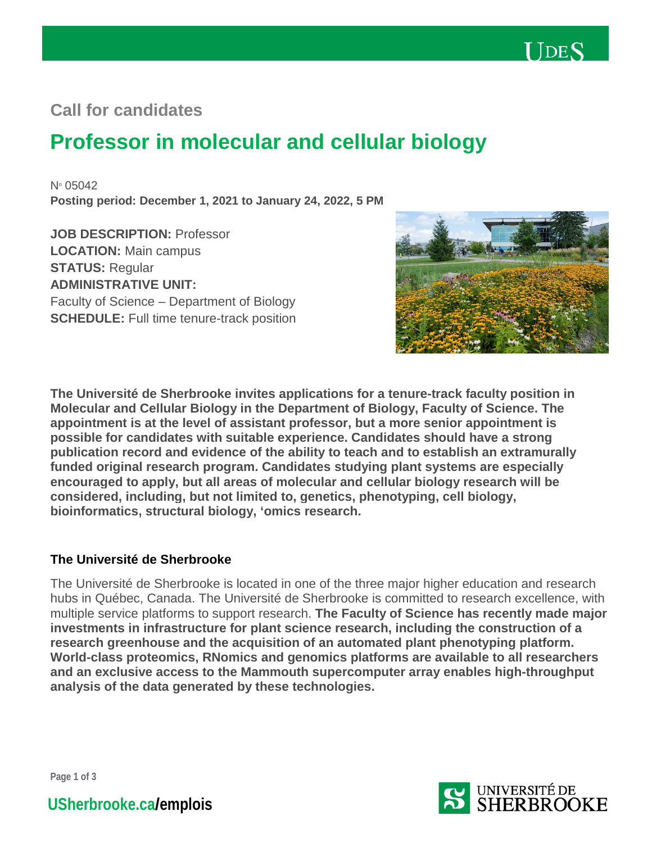

# **Call for candidates**

# **Professor in molecular and cellular biology**

No 05042 **Posting period: December 1, 2021 to January 24, 2022, 5 PM**

**JOB DESCRIPTION:** Professor **LOCATION:** Main campus **STATUS:** Regular **ADMINISTRATIVE UNIT:** Faculty of Science – Department of Biology **SCHEDULE:** Full time tenure-track position



**The Université de Sherbrooke invites applications for a tenure-track faculty position in Molecular and Cellular Biology in the Department of Biology, Faculty of Science. The appointment is at the level of assistant professor, but a more senior appointment is possible for candidates with suitable experience. Candidates should have a strong publication record and evidence of the ability to teach and to establish an extramurally funded original research program. Candidates studying plant systems are especially encouraged to apply, but all areas of molecular and cellular biology research will be considered, including, but not limited to, genetics, phenotyping, cell biology, bioinformatics, structural biology, 'omics research.** 

#### **The Université de Sherbrooke**

The Université de Sherbrooke is located in one of the three major higher education and research hubs in Québec, Canada. The Université de Sherbrooke is committed to research excellence, with multiple service platforms to support research. **The Faculty of Science has recently made major investments in infrastructure for plant science research, including the construction of a research greenhouse and the acquisition of an automated plant phenotyping platform. World-class proteomics, RNomics and genomics platforms are available to all researchers and an exclusive access to the Mammouth supercomputer array enables high-throughput analysis of the data generated by these technologies.** 



**Page 1 of 3**

**[USherbrooke.ca](https://www.usherbrooke.ca/emplois/)/emplois**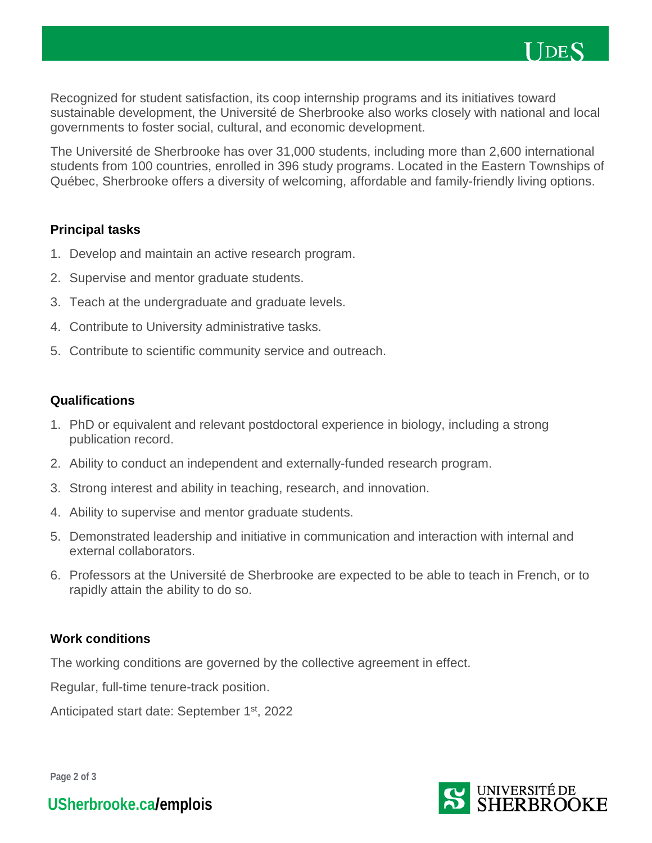

Recognized for student satisfaction, its coop internship programs and its initiatives toward sustainable development, the Université de Sherbrooke also works closely with national and local governments to foster social, cultural, and economic development.

The Université de Sherbrooke has over 31,000 students, including more than 2,600 international students from 100 countries, enrolled in 396 study programs. Located in the Eastern Townships of Québec, Sherbrooke offers a diversity of welcoming, affordable and family-friendly living options.

#### **Principal tasks**

- 1. Develop and maintain an active research program.
- 2. Supervise and mentor graduate students.
- 3. Teach at the undergraduate and graduate levels.
- 4. Contribute to University administrative tasks.
- 5. Contribute to scientific community service and outreach.

#### **Qualifications**

- 1. PhD or equivalent and relevant postdoctoral experience in biology, including a strong publication record.
- 2. Ability to conduct an independent and externally-funded research program.
- 3. Strong interest and ability in teaching, research, and innovation.
- 4. Ability to supervise and mentor graduate students.
- 5. Demonstrated leadership and initiative in communication and interaction with internal and external collaborators.
- 6. Professors at the Université de Sherbrooke are expected to be able to teach in French, or to rapidly attain the ability to do so.

#### **Work conditions**

The working conditions are governed by the collective agreement in effect.

Regular, full-time tenure-track position.

Anticipated start date: September 1<sup>st</sup>, 2022

**Page 2 of 3**



**[USherbrooke.ca](https://www.usherbrooke.ca/emplois/)/emplois**